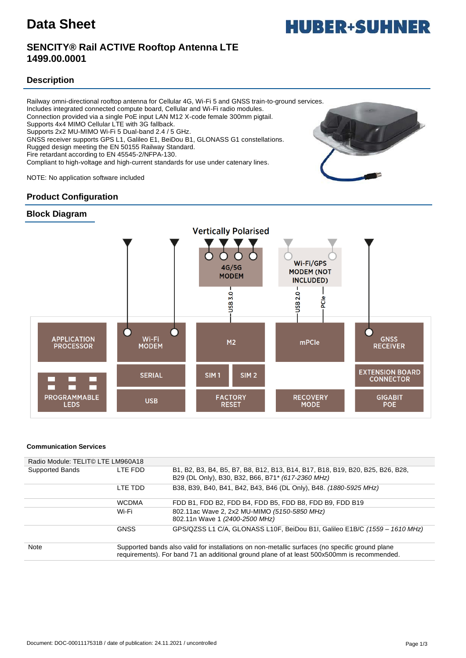# **Data Sheet**



## **SENCITY® Rail ACTIVE Rooftop Antenna LTE 1499.00.0001**

## **Description**

Railway omni-directional rooftop antenna for Cellular 4G, Wi-Fi 5 and GNSS train-to-ground services. Includes integrated connected compute board, Cellular and Wi-Fi radio modules. Connection provided via a single PoE input LAN M12 X-code female 300mm pigtail. Supports 4x4 MIMO Cellular LTE with 3G fallback. Supports 2x2 MU-MIMO Wi-Fi 5 Dual-band 2.4 / 5 GHz. GNSS receiver supports GPS L1, Galileo E1, BeiDou B1, GLONASS G1 constellations. Rugged design meeting the EN 50155 Railway Standard. Fire retardant according to EN 45545-2/NFPA-130.

Compliant to high-voltage and high-current standards for use under catenary lines.

NOTE: No application software included

## **Product Configuration**





#### **Communication Services**

| Radio Module: TELIT© LTE LM960A18 |                                                                                                                                                                                                |                                                                                                                                    |
|-----------------------------------|------------------------------------------------------------------------------------------------------------------------------------------------------------------------------------------------|------------------------------------------------------------------------------------------------------------------------------------|
| Supported Bands                   | I TF FDD                                                                                                                                                                                       | B1, B2, B3, B4, B5, B7, B8, B12, B13, B14, B17, B18, B19, B20, B25, B26, B28,<br>B29 (DL Only), B30, B32, B66, B71* (617-2360 MHz) |
|                                   | I TF TDD                                                                                                                                                                                       | B38, B39, B40, B41, B42, B43, B46 (DL Only), B48. (1880-5925 MHz)                                                                  |
|                                   | <b>WCDMA</b>                                                                                                                                                                                   | FDD B1, FDD B2, FDD B4, FDD B5, FDD B8, FDD B9, FDD B19                                                                            |
|                                   | Wi-Fi                                                                                                                                                                                          | 802.11ac Wave 2, 2x2 MU-MIMO (5150-5850 MHz)<br>802.11n Wave 1 (2400-2500 MHz)                                                     |
|                                   | <b>GNSS</b>                                                                                                                                                                                    | GPS/QZSS L1 C/A, GLONASS L10F, BeiDou B1I, Galileo E1B/C (1559 - 1610 MHz)                                                         |
| <b>Note</b>                       | Supported bands also valid for installations on non-metallic surfaces (no specific ground plane<br>requirements). For band 71 an additional ground plane of at least 500x500mm is recommended. |                                                                                                                                    |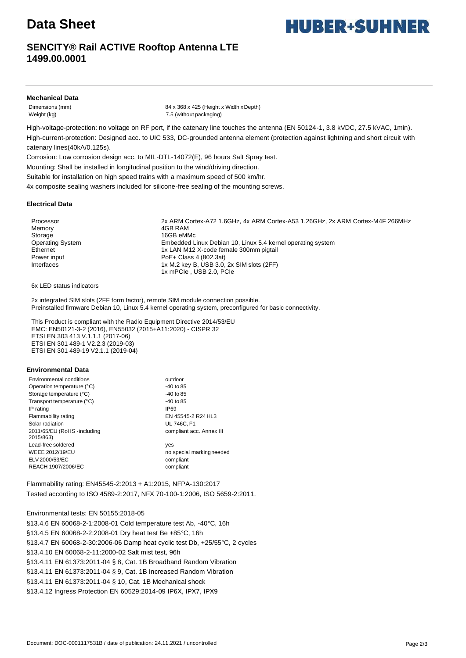# **Data Sheet**

## **SENCITY® Rail ACTIVE Rooftop Antenna LTE 1499.00.0001**

### **Mechanical Data**

Dimensions (mm) 84 x 368 x 425 (Height x Width xDepth) Weight (kg) 7.5 (without packaging)

High-voltage-protection: no voltage on RF port, if the catenary line touches the antenna (EN 50124-1, 3.8 kVDC, 27.5 kVAC, 1min). High-current-protection: Designed acc. to UIC 533, DC-grounded antenna element (protection against lightning and short circuit with catenary lines(40kA/0.125s).

Corrosion: Low corrosion design acc. to MIL-DTL-14072(E), 96 hours Salt Spray test.

Mounting: Shall be installed in longitudinal position to the wind/driving direction.

Suitable for installation on high speed trains with a maximum speed of 500 km/hr.

4x composite sealing washers included for silicone-free sealing of the mounting screws.

#### **Electrical Data**

Memory **4GB RAM** Storage 16GB eMMc

Processor 2x ARM Cortex-A72 1.6GHz, 4x ARM Cortex-A53 1.26GHz, 2x ARM Cortex-M4F 266MHz Operating System Embedded Linux Debian 10, Linux 5.4 kernel operating system Ethernet 1x LAN M12 X-code female 300mm pigtail Power input Power input Poet + Class 4 (802.3at) Interfaces 1x M.2 key B, USB 3.0, 2x SIM slots (2FF) 1x mPCIe , USB 2.0, PCIe

6x LED status indicators

2x integrated SIM slots (2FF form factor), remote SIM module connection possible. Preinstalled firmware Debian 10, Linux 5.4 kernel operating system, preconfigured for basic connectivity.

This Product is compliant with the Radio Equipment Directive 2014/53/EU EMC: EN50121-3-2 (2016), EN55032 (2015+A11:2020) - CISPR 32 ETSI EN 303 413 V.1.1.1 (2017-06) ETSI EN 301 489-1 V2.2.3 (2019-03) ETSI EN 301 489-19 V2.1.1 (2019-04)

#### **Environmental Data**

| Environmental conditions                  | outdoor                   |
|-------------------------------------------|---------------------------|
| Operation temperature (°C)                | $-40$ to 85               |
| Storage temperature (°C)                  | $-40$ to 85               |
| Transport temperature (°C)                | $-40$ to 85               |
| IP rating                                 | IP69                      |
| Flammability rating                       | EN 45545-2 R24 HL3        |
| Solar radiation                           | <b>UL 746C. F1</b>        |
| 2011/65/EU (RoHS - including<br>2015/863) | compliant acc. Annex III  |
| Lead-free soldered                        | yes                       |
| <b>WEEE 2012/19/EU</b>                    | no special marking needed |
| ELV 2000/53/EC                            | compliant                 |
| REACH 1907/2006/EC                        | compliant                 |
|                                           |                           |

Flammability rating: EN45545-2:2013 + A1:2015, NFPA-130:2017 Tested according to ISO 4589-2:2017, NFX 70-100-1:2006, ISO 5659-2:2011.

#### Environmental tests: EN 50155:2018-05

§13.4.6 EN 60068-2-1:2008-01 Cold temperature test Ab, -40°C, 16h §13.4.5 EN 60068-2-2:2008-01 Dry heat test Be +85°C, 16h §13.4.7 EN 60068-2-30:2006-06 Damp heat cyclic test Db, +25/55°C, 2 cycles §13.4.10 EN 60068-2-11:2000-02 Salt mist test, 96h §13.4.11 EN 61373:2011-04 § 8, Cat. 1B Broadband Random Vibration §13.4.11 EN 61373:2011-04 § 9, Cat. 1B Increased Random Vibration §13.4.11 EN 61373:2011-04 § 10, Cat. 1B Mechanical shock §13.4.12 Ingress Protection EN 60529:2014-09 IP6X, IPX7, IPX9